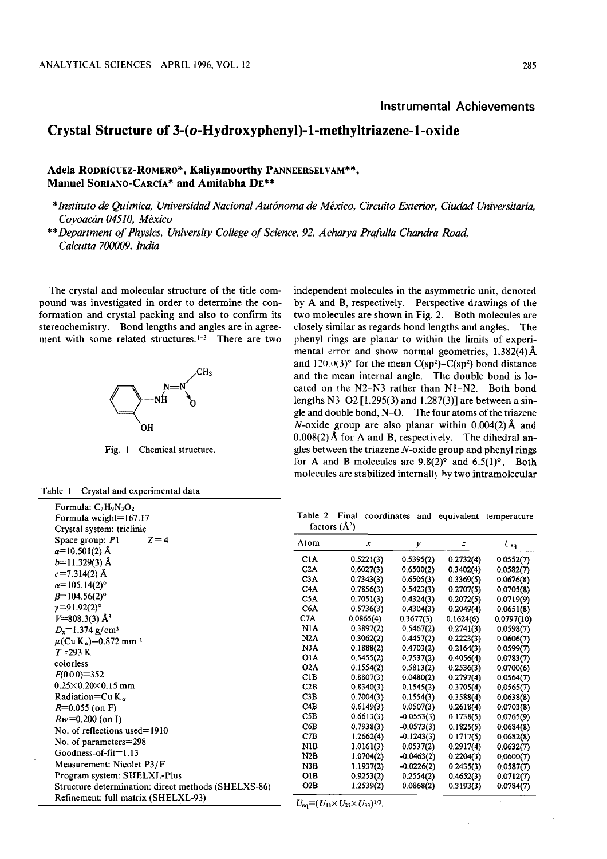## Instrumental Achievements

## Crystal Structure of 3-(o-Hydroxyphenyl)-1-methyltriazene-1-oxide

## Adela RODRIGUEZ-ROMERO\*, Kaliyamoorthy PANNEERSELVAM\*\*, Manuel SORIANO-CARCIA\* and Amitabha DE\*\*

\*Instituto de QuImica , Universidad National Autonoma de Mexico, Circuito Exterior, Ciudad Universitaria, Covoacán 04510, México

\*\*Department of Physics, University College of Science, 92, Acharya Prafulla Chandra Road, Calcutta 700009, India

The crystal and molecular structure of the title compound was investigated in order to determine the conformation and crystal packing and also to confirm its stereochemistry. Bond lengths and angles are in agreement with some related structures. $1-3$  There are two



Fig. 1 Chemical structure.

 $Z = 4$ 

| Table 1 |  | Crystal and experimental data |  |
|---------|--|-------------------------------|--|
|         |  |                               |  |

Formula: C<sub>7</sub>H<sub>9</sub>N<sub>3</sub>O<sub>2</sub> Formula weight=167.17 Crystal system: triclinic Space group:  $P\bar{1}$ 

 $a=10.501(2)$  Å  $b=11.329(3)$  Å  $c=7.314(2)$  Å  $\alpha = 105.14(2)^{\circ}$  $\beta = 104.56(2)^{\circ}$  $y=91.92(2)°$  $V=808.3(3)$  Å<sup>3</sup>  $D_x = 1.374$  g/cm<sup>3</sup>  $\mu$ (Cu K<sub>a</sub>)=0.872 mm<sup>-1</sup>

 $T = 293 K$ colorless  $F(000)=352$  $0.25 \times 0.20 \times 0.15$  mm Radiation=Cu  $K_{\alpha}$  $R=0.055$  (on F)  $Rw = 0.200$  (on I)

No. of reflections used=1910 No. of parameters=298 Goodness-of-fit=1.13 Measurement: Nicolet P3/F Program system: SHELXL-Plus independent molecules in the asymmetric unit, denoted by A and B, respectively. Perspective drawings of the two molecules are shown in Fig. 2. Both molecules are closely similar as regards bond lengths and angles. The phenyl rings are planar to within the limits of experimental error and show normal geometries,  $1.382(4)$ Å and  $120.0(3)°$  for the mean C(sp<sup>2</sup>)–C(sp<sup>2</sup>) bond distance and the mean internal angle. The double bond is located on the N2-N3 rather than N1-N2. Both bond lengths N3-02 [1.295(3) and 1.287(3)] are between a single and double bond, N-0. The four atoms of the triazene N-oxide group are also planar within  $0.004(2)$  Å and  $0.008(2)$  Å for A and B, respectively. The dihedral angles between the triazene  $N$ -oxide group and phenyl rings for A and B molecules are  $9.8(2)^\circ$  and  $6.5(1)^\circ$ . Both molecules are stabilized internally by two intramolecular

Table 2 Final coordinates and equivalent temperature factors  $(A^2)$ 

| Atom             | $\boldsymbol{x}$ | у            |           | $\iota_{eq}$ |
|------------------|------------------|--------------|-----------|--------------|
| C <sub>1</sub> A | 0.5221(3)        | 0.5395(2)    | 0.2732(4) | 0.0552(7)    |
| C2A              | 0.6027(3)        | 0.6500(2)    | 0.3402(4) | 0.0582(7)    |
| C3A              | 0.7343(3)        | 0.6505(3)    | 0.3369(5) | 0.0676(8)    |
| C <sub>4</sub> A | 0.7856(3)        | 0.5423(3)    | 0.2707(5) | 0.0705(8)    |
| C5A              | 0.7051(3)        | 0.4324(3)    | 0.2072(5) | 0.0719(9)    |
| C6A              | 0.5736(3)        | 0.4304(3)    | 0,2049(4) | 0.0651(8)    |
| C <sub>7</sub> A | 0.0865(4)        | 0.3677(3)    | 0.1624(6) | 0.0797(10)   |
| N1A              | 0.3897(2)        | 0.5467(2)    | 0.2741(3) | 0.0598(7)    |
| N2A              | 0.3062(2)        | 0.4457(2)    | 0.2223(3) | 0.0606(7)    |
| N3A              | 0.1888(2)        | 0.4703(2)    | 0.2164(3) | 0.0599(7)    |
| 01A              | 0.5455(2)        | 0.7537(2)    | 0.4056(4) | 0.0783(7)    |
| O2A              | 0.1554(2)        | 0.5813(2)    | 0.2536(3) | 0.0700(6)    |
| C1B              | 0.8807(3)        | 0.0480(2)    | 0.2797(4) | 0.0564(7)    |
| C2B              | 0.8340(3)        | 0.1545(2)    | 0.3705(4) | 0.0565(7)    |
| C3B              | 0.7004(3)        | 0.1554(3)    | 0.3588(4) | 0.0638(8)    |
| C4B              | 0.6149(3)        | 0.0507(3)    | 0.2618(4) | 0.0703(8)    |
| C5B              | 0.6613(3)        | $-0.0553(3)$ | 0.1738(5) | 0.0765(9)    |
| C6B              | 0.7938(3)        | $-0.0573(3)$ | 0.1825(5) | 0.0684(8)    |
| C <sub>7B</sub>  | 1.2662(4)        | $-0.1243(3)$ | 0.1717(5) | 0.0682(8)    |
| N1B              | 1.0161(3)        | 0.0537(2)    | 0.2917(4) | 0.0632(7)    |
| N2B              | 1.0704(2)        | $-0.0463(2)$ | 0.2204(3) | 0.0600(7)    |
| N3B              | 1.1937(2)        | $-0.0226(2)$ | 0.2435(3) | 0.0587(7)    |
| OIB              | 0.9253(2)        | 0.2554(2)    | 0.4652(3) | 0.0712(7)    |
| O2B              | 1.2539(2)        | 0.0868(2)    | 0.3193(3) | 0.0784(7)    |

Refinement: full matrix (SHELXL-93)

Structure determination: direct methods (SHELXS-86)

 $U_{eq} = (U_{11} \times U_{22} \times U_{33})^{1/3}$ .